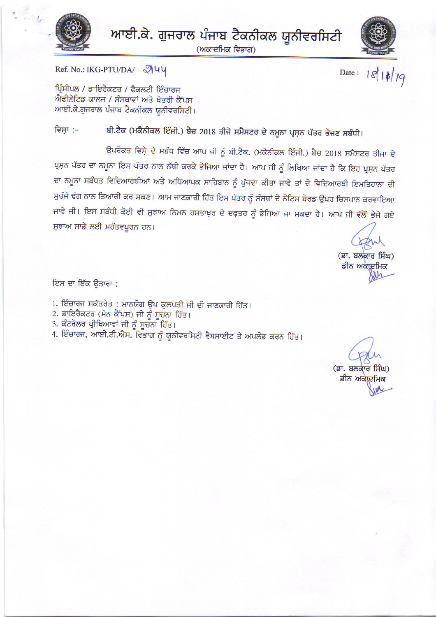

ਆਈ.ਕੇ. ਗੁਜਰਾਲ ਪੰਜਾਬ ਟੈਕਨੀਕਲ ਯੂਨੀਵਰਸਿਟੀ

(ਅਕਾਦਮਿਕ ਵਿਭਾਗ)



Date: 18/10/19

Ref. No.: IKG-PTU/DA/ 9144

ਪ੍ਰਿੰਸੀਪਲ / ਡਾਇਰੈਕਟਰ / ਫੈਕਲਟੀ ਇੰਚਾਰਜ ਐਫੀਲੇਟਿਡ ਕਾਲਜ / ਸੰਸਥਾਵਾਂ ਅਤੇ ਖੇਤਰੀ ਕੈਂਪਸ ਆਈ.ਕੇ.ਗੁਜਰਾਲ ਪੰਜਾਬ ਟੈਕਨੀਕਲ ਯੂਨੀਵਰਸਿਟੀ।

ਬੀ.ਟੈਕ (ਮਕੈਨੀਕਲ ਇੰਜੀ.) ਬੈਚ 2018 ਤੀਜੇ ਸਮੈਸਟਰ ਦੇ ਨਮੂਨਾ ਪ੍ਰਸ਼ਨ ਪੱਤਰ ਭੇਜਣ ਸਬੰਧੀ। ਵਿਸ਼ਾ :–

ਉਪਰੋਕਤ ਵਿਸ਼ੇ ਦੇ ਸਬੰਧ ਵਿੱਚ ਆਪ ਜੀ ਨੂੰ ਬੀ.ਟੈਕ. (ਮਕੈਨੀਕਲ ਇੰਜੀ.) ਬੈਚ 2018 ਸਮੈਸਟਰ ਤੀਜਾ ਦੇ ਪ੍ਰਸ਼ਨ ਪੱਤਰ ਦਾ ਨਮੂਨਾ ਇਸ ਪੱਤਰ ਨਾਲ ਨੱਥੀ ਕਰਕੇ ਭੇਜਿਆ ਜਾਂਦਾ ਹੈ। ਆਪ ਜੀ ਨੂੰ ਲਿਖਿਆ ਜਾਂਦਾ ਹੈ ਕਿ ਇਹ ਪ੍ਰਸ਼ਨ ਪੱਤਰ ਦਾ ਨਮੂਨਾ ਸਬੰਧਤ ਵਿਦਿਆਰਥੀਆਂ ਅਤੇ ਅਧਿਆਪਕ ਸਾਹਿਬਾਨ ਨੂੰ ਪੁੱਜਦਾ ਕੀਤਾ ਜਾਵੇ ਤਾਂ ਜ਼ੋ ਵਿਦਿਆਰਥੀ ਇਮਤਿਹਾਨਾ ਦੀ ਸੁਚੱਜੇ ਢੰਗ ਨਾਲ ਤਿਆਰੀ ਕਰ ਸਕਣ। ਆਮ ਜਾਣਕਾਰੀ ਹਿੱਤ ਇਸ ਪੱਤਰ ਨੂੰ ਸੰਸਥਾਂ ਦੇ ਨੋਟਿਸ ਬੋਰਡ ਉਪਰ ਚਿਸਪਾਨ ਕਰਵਾਇਆ ਜਾਵੇ ਜੀ। ਇਸ ਸਬੰਧੀ ਕੋਈ ਵੀ ਸੁਝਾਅ ਨਿਮਨ ਹਸਤਾਖ਼ਰ ਦੇ ਦਫ਼ਤਰ ਨੂੰ ਭੇਜਿਆ ਜਾ ਸਕਦਾ ਹੈ। ਆਪ ਜੀ ਵੱਲੋਂ ਭੇਜੇ ਗਏ ਸੁਝਾਅ ਸਾਡੇ ਲਈ ਮਹੱਤਵਪੂਰਨ ਹਨ।

(ਡਾ. ਬਲਕਾਰ ਸਿੰਘ) ਡੀਨ ਅਕਾਦਮਿਕ

ਇਸ ਦਾ ਇੱਕ ਉਤਾਰਾ :

- 1. ਇੰਚਾਰਜ ਸਕੱਤਰੇਤ : ਮਾਨਯੋਗ ਉਪ ਕੁਲਪਤੀ ਜੀ ਦੀ ਜਾਣਕਾਰੀ ਹਿੱਤ।
- 2. ਡਾਇਰੈਕਟਰ (ਮੇਨ ਕੈਂਪਸ) ਜੀ ਨੂੰ ਸੂਚਨਾ ਹਿੱਤ।
- 3. ਕੰਟਰੋਲਰ ਪ੍ਰੀਖਿਆਵਾਂ ਜੀ ਨੂੰ ਸੂਚਨਾ ਹਿੱਤ।
- 4. ਇੰਚਾਰਜ, ਆਈ.ਟੀ.ਐਸ. ਵਿਭਾਗ ਨੂੰ ਯੂਨੀਵਰਸਿਟੀ ਵੈਬਸਾਈਟ ਤੇ ਅਪਲੋਡ ਕਰਨ ਹਿੱਤ।

(ਡਾ. ਬਲਕਾਰ ਸਿੰਘ) ਡੀਨ ਅਕਾਦਮਿਕ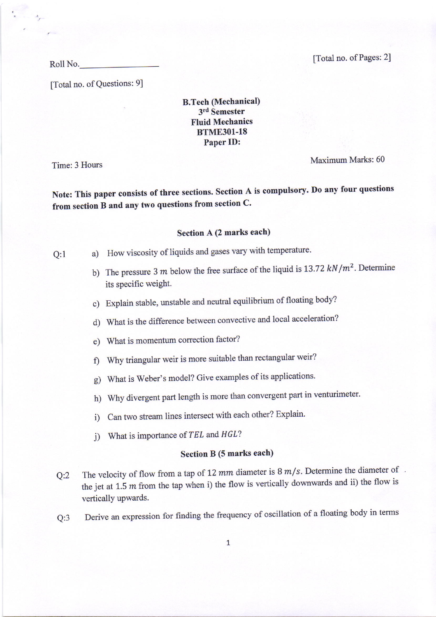Roll No. [Total no. of Pages: 2]

[Total no. of Questions: 9]

B.Tech Mechanical) 3rd Semester Fluid Mechanics BTME3Ol-18 Paper ID:

 $\frac{1}{\sqrt{2}}$ 

Time: 3 Hours Maximum Marks: 60

Note: This paper consists of three sections. Section A is compulsory. Do any four questions from section B and any two questions fron section C'

## Section A (2 marks each)

Q:1 a) How viscosity of liquids and gases vary with temperature.

- b) The pressure 3 m below the free surface of the liquid is 13.72  $kN/m^2$ . Determine its specific weight.
- c) Explain stable, unstable and neutral equilibrium of floating body?
- d) What is the difference between convective and local acceleration?
- e) What is momentum correction factor?
- 0 Why triangular weir is more suitable than rectangular weir?
- g) What is Weber's model? Give examples of its applications.
- h) Why divergent part length is more than convergent part in venturimeter.
- i) Can two stream lines intersect with each other? Explain.
- j) What is importance of  $TEL$  and  $HGL$ ?

## Section B (5 marks each)

- Q:2 The velocity of flow from a tap of 12 mm diameter is  $8 \, m/s$ . Determine the diameter of the jet at 1.5  $m$  from the tap when i) the flow is vertically downwards and ii) the flow is vertically upwards.
- Q:3 Derive an expression for finding the frequency of oscillation of a floating body in terms